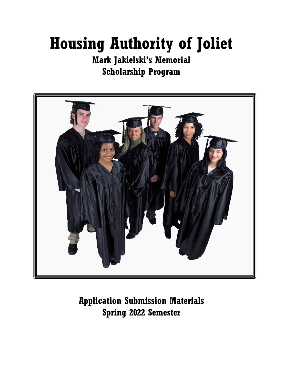## **Housing Authority of Joliet**

## **Mark Jakielski's Memorial Scholarship Program**



**Application Submission Materials Spring 2022 Semester**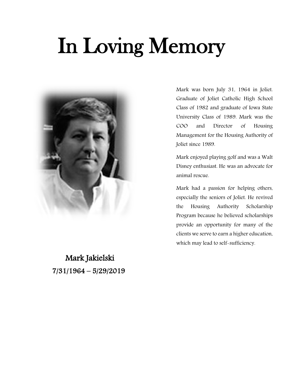# In Loving Memory



Mark Jakielski 7/31/1964 – 5/29/2019

Mark was born July 31, 1964 in Joliet. Graduate of Joliet Catholic High School Class of 1982 and graduate of Iowa State University Class of 1989. Mark was the COO and Director of Housing Management for the Housing Authority of Joliet since 1989.

Mark enjoyed playing golf and was a Walt Disney enthusiast. He was an advocate for animal rescue.

Mark had a passion for helping others, especially the seniors of Joliet. He revived the Housing Authority Scholarship Program because he believed scholarships provide an opportunity for many of the clients we serve to earn a higher education, which may lead to self-sufficiency.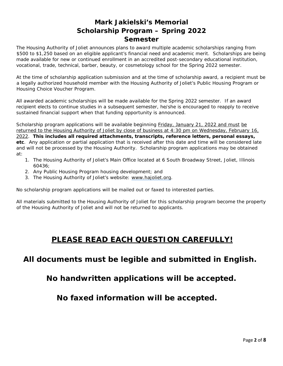The Housing Authority of Joliet announces plans to award multiple academic scholarships ranging from \$500 to \$1,250 based on an eligible applicant's financial need and academic merit. Scholarships are being made available for new or continued enrollment in an accredited post-secondary educational institution, vocational, trade, technical, barber, beauty, or cosmetology school for the Spring 2022 semester.

At the time of scholarship application submission and at the time of scholarship award, a recipient must be a legally authorized household member with the Housing Authority of Joliet's Public Housing Program or Housing Choice Voucher Program.

All awarded academic scholarships will be made available for the Spring 2022 semester. If an award recipient elects to continue studies in a subsequent semester, he/she is encouraged to reapply to receive sustained financial support when that funding opportunity is announced.

Scholarship program applications will be available beginning Friday, January 21, 2022 and must be returned to the Housing Authority of Joliet by close of business at 4:30 pm on Wednesday, February 16, 2022. **This includes all required attachments, transcripts, reference letters, personal essays, etc**. Any application or partial application that is received after this date and time will be considered late and will not be processed by the Housing Authority. Scholarship program applications may be obtained at:

- 1. The Housing Authority of Joliet's Main Office located at 6 South Broadway Street, Joliet, Illinois 60436;
- 2. Any Public Housing Program housing development; and
- 3. The Housing Authority of Joliet's website: [www.hajoliet.org.](http://www.hajoliet.org/)

No scholarship program applications will be mailed out or faxed to interested parties.

All materials submitted to the Housing Authority of Joliet for this scholarship program become the property of the Housing Authority of Joliet and will not be returned to applicants.

## **PLEASE READ EACH QUESTION CAREFULLY!**

**All documents must be legible and submitted in English.**

**No handwritten applications will be accepted.**

**No faxed information will be accepted.**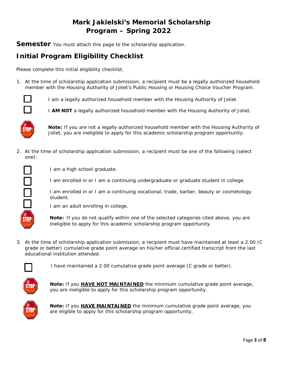## **Mark Jakielski's Memorial Scholarship Program – Spring 2022**

**Semester** You must attach this page to the scholarship application.

## **Initial Program Eligibility Checklist**

Please complete this initial eligibility checklist.

1. At the time of scholarship application submission, a recipient must be a legally authorized household member with the Housing Authority of Joliet's Public Housing or Housing Choice Voucher Program.



I am a legally authorized household member with the Housing Authority of Joliet.

I **AM NOT** a legally authorized household member with the Housing Authority of Joliet.



**Note:** If you are not a legally authorized household member with the Housing Authority of Joliet, you are ineligible to apply for this academic scholarship program opportunity.

2. At the time of scholarship application submission, a recipient must be one of the following (select one):



I am a high school graduate.

I am enrolled in or I am a continuing undergraduate or graduate student in college.

I am enrolled in or I am a continuing vocational, trade, barber, beauty or cosmetology student.

I am an adult enrolling in college.

**Note:** If you do not qualify within one of the selected categories cited above, you are ineligible to apply for this academic scholarship program opportunity.

3. At the time of scholarship application submission, a recipient must have maintained at least a 2.00 (C grade or better) cumulative grade point average on his/her official certified transcript from the last educational institution attended.



I have maintained a 2.00 cumulative grade point average (C grade or better).



**Note:** If you **HAVE NOT MAINTAINED** the minimum cumulative grade point average, you are ineligible to apply for this scholarship program opportunity.



**Note:** If you **HAVE MAINTAINED** the minimum cumulative grade point average, you are eligible to apply for this scholarship program opportunity.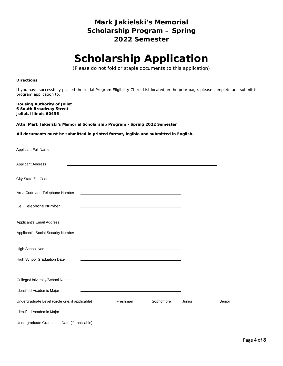## **Scholarship Application**

(Please do not fold or staple documents to this application)

#### **Directions**

If you have successfully passed the Initial Program Eligibility Check List located on the prior page, please complete and submit this program application to:

**Housing Authority of Joliet 6 South Broadway Street Joliet, Illinois 60436**

**Attn: Mark Jakielski's Memorial Scholarship Program - Spring 2022 Semester** 

#### **All documents must be submitted in printed format, legible and submitted in English.**

| Applicant Full Name                             |                                                                                                                                                                                                                               |           |        |        |
|-------------------------------------------------|-------------------------------------------------------------------------------------------------------------------------------------------------------------------------------------------------------------------------------|-----------|--------|--------|
| <b>Applicant Address</b>                        |                                                                                                                                                                                                                               |           |        |        |
| City State Zip Code                             |                                                                                                                                                                                                                               |           |        |        |
| Area Code and Telephone Number                  |                                                                                                                                                                                                                               |           |        |        |
| Cell Telephone Number                           |                                                                                                                                                                                                                               |           |        |        |
| Applicant's Email Address                       | the control of the control of the control of the control of the control of the control of the control of the control of the control of the control of the control of the control of the control of the control of the control |           |        |        |
| Applicant's Social Security Number              |                                                                                                                                                                                                                               |           |        |        |
| High School Name                                |                                                                                                                                                                                                                               |           |        |        |
| High School Graduation Date                     | the control of the control of the control of the control of the control of the control of the control of the control of                                                                                                       |           |        |        |
| College/University/School Name                  |                                                                                                                                                                                                                               |           |        |        |
| Identified Academic Major                       |                                                                                                                                                                                                                               |           |        |        |
| Undergraduate Level (circle one, if applicable) | Freshman                                                                                                                                                                                                                      | Sophomore | Junior | Senior |
| Identified Academic Major                       |                                                                                                                                                                                                                               |           |        |        |
| Undergraduate Graduation Date (if applicable)   |                                                                                                                                                                                                                               |           |        |        |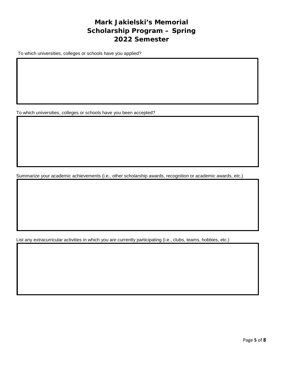To which universities, colleges or schools have you applied?

To which universities, colleges or schools have you been accepted?

Summarize your academic achievements (i.e., other scholarship awards, recognition or academic awards, etc.)

List any extracurricular activities in which you are currently participating (i.e., clubs, teams, hobbies, etc.)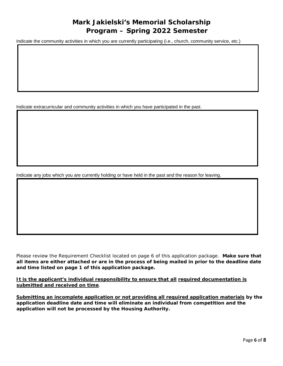Indicate the community activities in which you are currently participating (i.e., church, community service, etc.)

Indicate extracurricular and community activities in which you have participated in the past.

Indicate any jobs which you are currently holding or have held in the past and the reason for leaving.

Please review the Requirement Checklist located on page 6 of this application package. **Make sure that all items are either attached or are in the process of being mailed in prior to the deadline date and time listed on page 1 of this application package.** 

**It is the applicant's individual responsibility to ensure that all required documentation is submitted and received on time**.

**Submitting an incomplete application or not providing all required application materials by the application deadline date and time will eliminate an individual from competition and the application will not be processed by the Housing Authority.**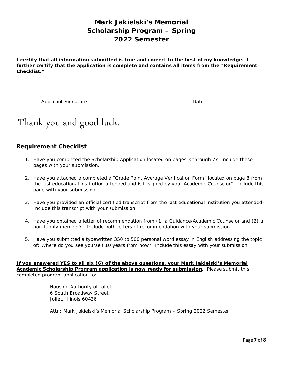**I certify that all information submitted is true and correct to the best of my knowledge. I further certify that the application is complete and contains all items from the "Requirement Checklist."** 

Applicant Signature Date

## Thank you and good luck.

#### **Requirement Checklist**

- 1. Have you completed the Scholarship Application located on pages 3 through 7? Include these pages with your submission.
- 2. Have you attached a completed a "Grade Point Average Verification Form" located on page 8 from the last educational institution attended and is it signed by your Academic Counselor? Include this page with your submission.
- 3. Have you provided an official certified transcript from the last educational institution you attended? Include this transcript with your submission.
- 4. Have you obtained a letter of recommendation from (1) a Guidance/Academic Counselor and (2) a non-family member? Include both letters of recommendation with your submission.
- 5. Have you submitted a typewritten 350 to 500 personal word essay in English addressing the topic of: Where do you see yourself 10 years from now? Include this essay with your submission.

**If you answered YES to all six (6) of the above questions, your Mark Jakielski's Memorial Academic Scholarship Program application is now ready for submission**. Please submit this completed program application to:

> Housing Authority of Joliet 6 South Broadway Street Joliet, Illinois 60436

Attn: Mark Jakielski's Memorial Scholarship Program – Spring 2022 Semester